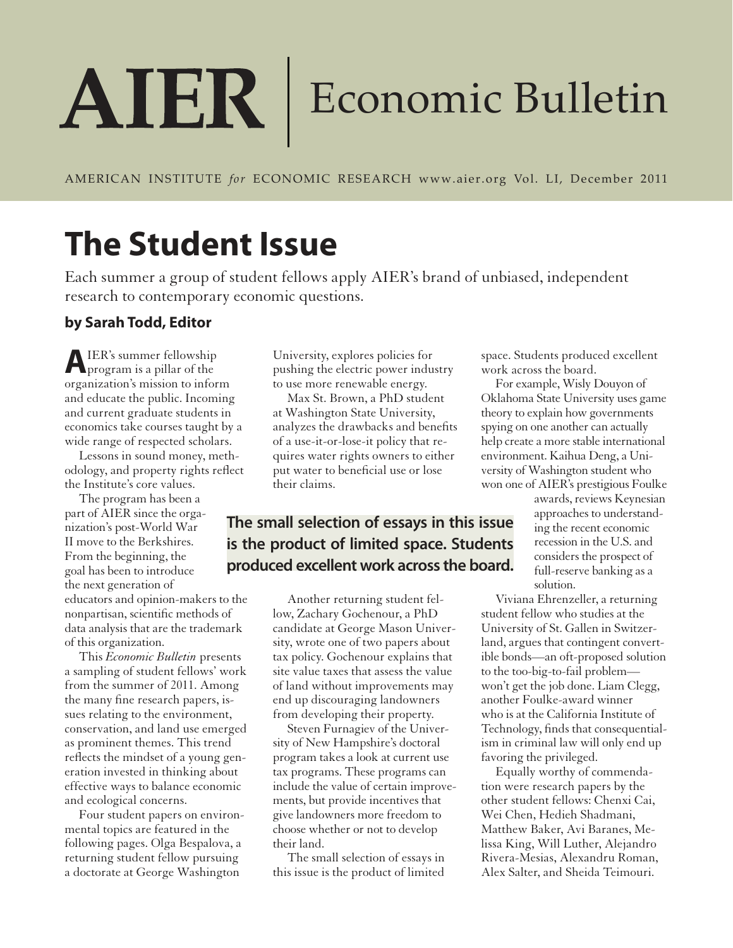# AIER Economic Bulletin

AMERICAN INSTITUTE *for* ECONOMIC RESEARCH www.aier.org Vol. LI, December 2011

## **The Student Issue**

Each summer a group of student fellows apply AIER's brand of unbiased, independent research to contemporary economic questions.

## **by Sarah Todd, Editor**

**A** IER's summer fellowship IER's summer fellowship organization's mission to inform and educate the public. Incoming and current graduate students in economics take courses taught by a wide range of respected scholars.

Lessons in sound money, methodology, and property rights reflect the Institute's core values.

The program has been a part of AIER since the organization's post-World War II move to the Berkshires. From the beginning, the goal has been to introduce the next generation of educators and opinion-makers to the nonpartisan, scientific methods of data analysis that are the trademark of this organization.

This *Economic Bulletin* presents a sampling of student fellows' work from the summer of 2011. Among the many fine research papers, issues relating to the environment, conservation, and land use emerged as prominent themes. This trend reflects the mindset of a young generation invested in thinking about effective ways to balance economic and ecological concerns.

Four student papers on environmental topics are featured in the following pages. Olga Bespalova, a returning student fellow pursuing a doctorate at George Washington

University, explores policies for pushing the electric power industry to use more renewable energy.

Max St. Brown, a PhD student at Washington State University, analyzes the drawbacks and benefits of a use-it-or-lose-it policy that requires water rights owners to either put water to beneficial use or lose their claims.

## **The small selection of essays in this issue is the product of limited space. Students produced excellent work across the board.**

Another returning student fellow, Zachary Gochenour, a PhD candidate at George Mason University, wrote one of two papers about tax policy. Gochenour explains that site value taxes that assess the value of land without improvements may end up discouraging landowners from developing their property.

Steven Furnagiev of the University of New Hampshire's doctoral program takes a look at current use tax programs. These programs can include the value of certain improvements, but provide incentives that give landowners more freedom to choose whether or not to develop their land.

The small selection of essays in this issue is the product of limited space. Students produced excellent work across the board.

For example, Wisly Douyon of Oklahoma State University uses game theory to explain how governments spying on one another can actually help create a more stable international environment. Kaihua Deng, a University of Washington student who won one of AIER's prestigious Foulke

> awards, reviews Keynesian approaches to understanding the recent economic recession in the U.S. and considers the prospect of full-reserve banking as a solution.

Viviana Ehrenzeller, a returning student fellow who studies at the University of St. Gallen in Switzerland, argues that contingent convertible bonds—an oft-proposed solution to the too-big-to-fail problem won't get the job done. Liam Clegg, another Foulke-award winner who is at the California Institute of Technology, finds that consequentialism in criminal law will only end up favoring the privileged.

Equally worthy of commendation were research papers by the other student fellows: Chenxi Cai, Wei Chen, Hedieh Shadmani, Matthew Baker, Avi Baranes, Melissa King, Will Luther, Alejandro Rivera-Mesias, Alexandru Roman, Alex Salter, and Sheida Teimouri.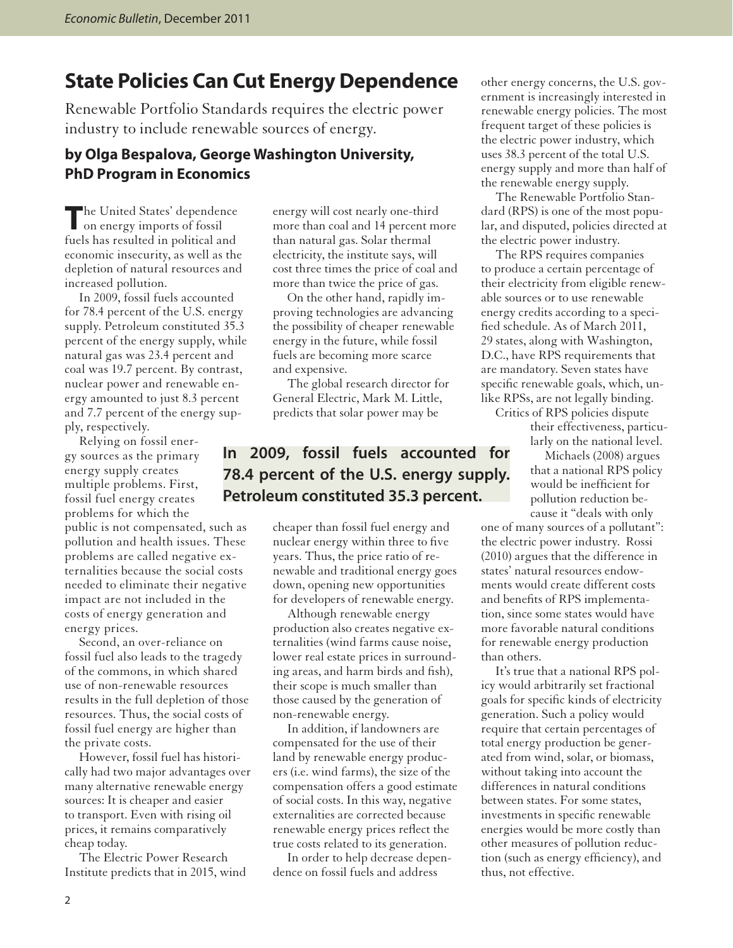## **State Policies Can Cut Energy Dependence**

Renewable Portfolio Standards requires the electric power industry to include renewable sources of energy.

#### **by Olga Bespalova, George Washington University, PhD Program in Economics**

The United States' dependence<br>
on energy imports of fossil on energy imports of fossil fuels has resulted in political and economic insecurity, as well as the depletion of natural resources and increased pollution.

In 2009, fossil fuels accounted for 78.4 percent of the U.S. energy supply. Petroleum constituted 35.3 percent of the energy supply, while natural gas was 23.4 percent and coal was 19.7 percent. By contrast, nuclear power and renewable energy amounted to just 8.3 percent and 7.7 percent of the energy supply, respectively.

Relying on fossil energy sources as the primary energy supply creates multiple problems. First, fossil fuel energy creates problems for which the

public is not compensated, such as pollution and health issues. These problems are called negative externalities because the social costs needed to eliminate their negative impact are not included in the costs of energy generation and energy prices.

Second, an over-reliance on fossil fuel also leads to the tragedy of the commons, in which shared use of non-renewable resources results in the full depletion of those resources. Thus, the social costs of fossil fuel energy are higher than the private costs.

However, fossil fuel has historically had two major advantages over many alternative renewable energy sources: It is cheaper and easier to transport. Even with rising oil prices, it remains comparatively cheap today.

The Electric Power Research Institute predicts that in 2015, wind

energy will cost nearly one-third more than coal and 14 percent more than natural gas. Solar thermal electricity, the institute says, will cost three times the price of coal and more than twice the price of gas.

On the other hand, rapidly improving technologies are advancing the possibility of cheaper renewable energy in the future, while fossil fuels are becoming more scarce and expensive.

The global research director for General Electric, Mark M. Little, predicts that solar power may be

## **In 2009, fossil fuels accounted for 78.4 percent of the U.S. energy supply. Petroleum constituted 35.3 percent.**

cheaper than fossil fuel energy and nuclear energy within three to five years. Thus, the price ratio of renewable and traditional energy goes down, opening new opportunities for developers of renewable energy.

Although renewable energy production also creates negative externalities (wind farms cause noise, lower real estate prices in surrounding areas, and harm birds and fish), their scope is much smaller than those caused by the generation of non-renewable energy.

In addition, if landowners are compensated for the use of their land by renewable energy producers (i.e. wind farms), the size of the compensation offers a good estimate of social costs. In this way, negative externalities are corrected because renewable energy prices reflect the true costs related to its generation.

In order to help decrease dependence on fossil fuels and address

other energy concerns, the U.S. government is increasingly interested in renewable energy policies. The most frequent target of these policies is the electric power industry, which uses 38.3 percent of the total U.S. energy supply and more than half of the renewable energy supply.

The Renewable Portfolio Standard (RPS) is one of the most popular, and disputed, policies directed at the electric power industry.

The RPS requires companies to produce a certain percentage of their electricity from eligible renewable sources or to use renewable energy credits according to a specified schedule. As of March 2011, 29 states, along with Washington, D.C., have RPS requirements that are mandatory. Seven states have specific renewable goals, which, unlike RPSs, are not legally binding.

Critics of RPS policies dispute their effectiveness, particularly on the national level.

Michaels (2008) argues that a national RPS policy would be inefficient for pollution reduction because it "deals with only

one of many sources of a pollutant": the electric power industry. Rossi (2010) argues that the difference in states' natural resources endowments would create different costs and benefits of RPS implementation, since some states would have more favorable natural conditions for renewable energy production than others.

It's true that a national RPS policy would arbitrarily set fractional goals for specific kinds of electricity generation. Such a policy would require that certain percentages of total energy production be generated from wind, solar, or biomass, without taking into account the differences in natural conditions between states. For some states, investments in specific renewable energies would be more costly than other measures of pollution reduction (such as energy efficiency), and thus, not effective.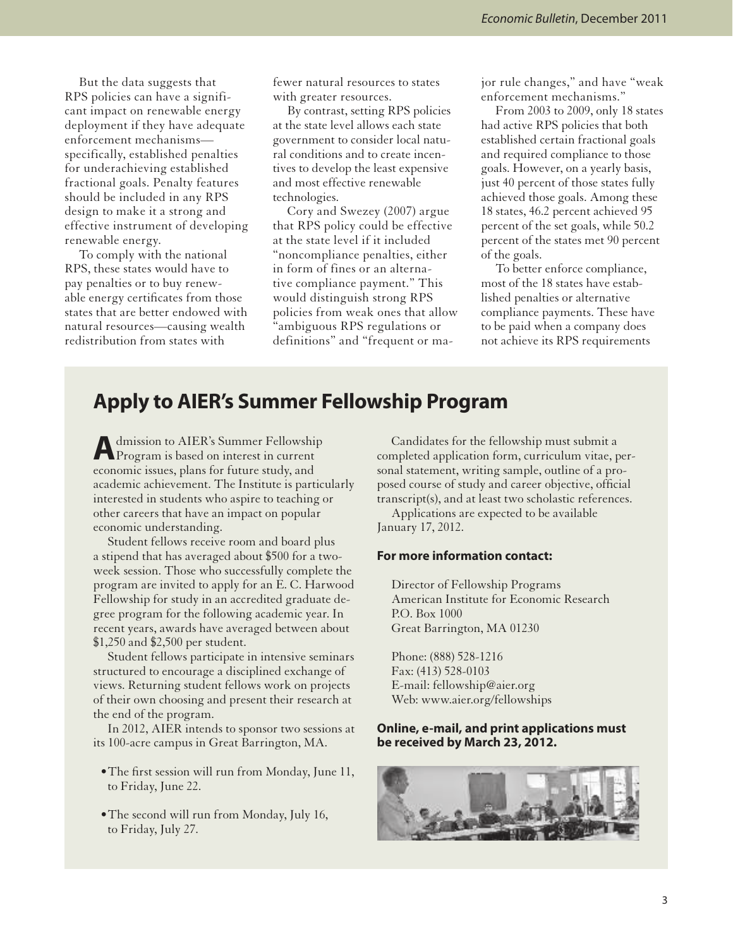But the data suggests that RPS policies can have a significant impact on renewable energy deployment if they have adequate enforcement mechanisms specifically, established penalties for underachieving established fractional goals. Penalty features should be included in any RPS design to make it a strong and effective instrument of developing renewable energy.

To comply with the national RPS, these states would have to pay penalties or to buy renewable energy certificates from those states that are better endowed with natural resources—causing wealth redistribution from states with

fewer natural resources to states with greater resources.

By contrast, setting RPS policies at the state level allows each state government to consider local natural conditions and to create incentives to develop the least expensive and most effective renewable technologies.

Cory and Swezey (2007) argue that RPS policy could be effective at the state level if it included "noncompliance penalties, either in form of fines or an alternative compliance payment." This would distinguish strong RPS policies from weak ones that allow "ambiguous RPS regulations or definitions" and "frequent or major rule changes," and have "weak enforcement mechanisms."

From 2003 to 2009, only 18 states had active RPS policies that both established certain fractional goals and required compliance to those goals. However, on a yearly basis, just 40 percent of those states fully achieved those goals. Among these 18 states, 46.2 percent achieved 95 percent of the set goals, while 50.2 percent of the states met 90 percent of the goals.

To better enforce compliance, most of the 18 states have established penalties or alternative compliance payments. These have to be paid when a company does not achieve its RPS requirements

## **Apply to AIER's Summer Fellowship Program**

A dmission to AIER's Summer Fellowship<br>Program is based on interest in current dmission to AIER's Summer Fellowship economic issues, plans for future study, and academic achievement. The Institute is particularly interested in students who aspire to teaching or other careers that have an impact on popular economic understanding.

Student fellows receive room and board plus a stipend that has averaged about \$500 for a twoweek session. Those who successfully complete the program are invited to apply for an E. C. Harwood Fellowship for study in an accredited graduate degree program for the following academic year. In recent years, awards have averaged between about \$1,250 and \$2,500 per student.

Student fellows participate in intensive seminars structured to encourage a disciplined exchange of views. Returning student fellows work on projects of their own choosing and present their research at the end of the program.

In 2012, AIER intends to sponsor two sessions at its 100-acre campus in Great Barrington, MA.

- •The first session will run from Monday, June 11, to Friday, June 22.
- •The second will run from Monday, July 16, to Friday, July 27.

Candidates for the fellowship must submit a completed application form, curriculum vitae, personal statement, writing sample, outline of a proposed course of study and career objective, official transcript(s), and at least two scholastic references.

Applications are expected to be available January 17, 2012.

#### **For more information contact:**

 Director of Fellowship Programs American Institute for Economic Research P.O. Box 1000 Great Barrington, MA 01230

 Phone: (888) 528-1216 Fax: (413) 528-0103 E-mail: fellowship@aier.org Web: www.aier.org/fellowships

#### **Online, e-mail, and print applications must be received by March 23, 2012.**

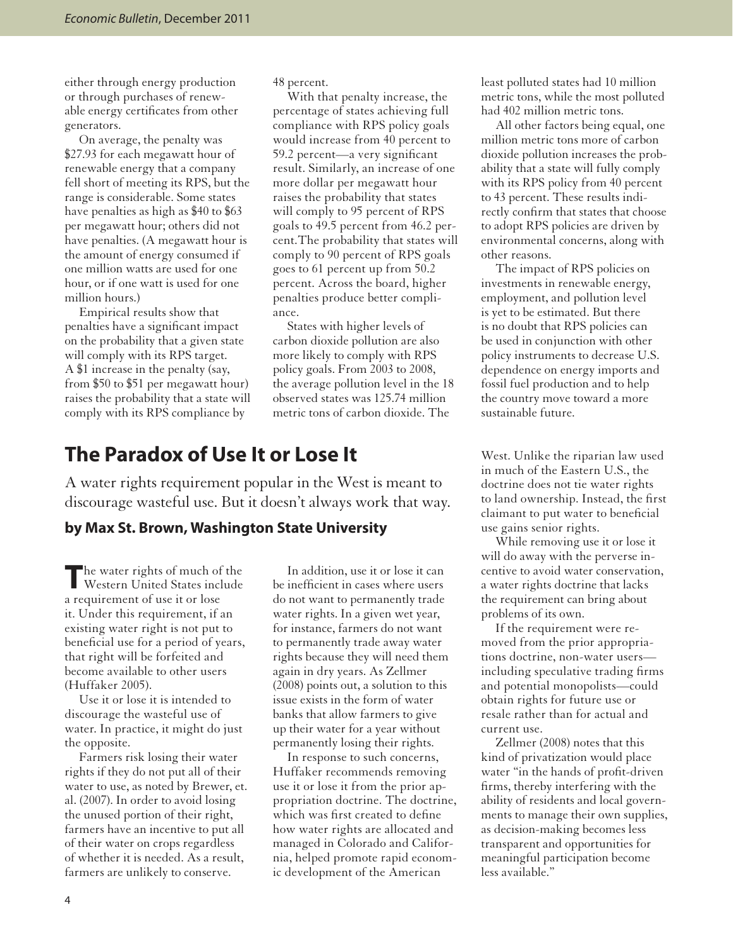either through energy production or through purchases of renewable energy certificates from other generators.

On average, the penalty was \$27.93 for each megawatt hour of renewable energy that a company fell short of meeting its RPS, but the range is considerable. Some states have penalties as high as \$40 to \$63 per megawatt hour; others did not have penalties. (A megawatt hour is the amount of energy consumed if one million watts are used for one hour, or if one watt is used for one million hours.)

Empirical results show that penalties have a significant impact on the probability that a given state will comply with its RPS target. A \$1 increase in the penalty (say, from \$50 to \$51 per megawatt hour) raises the probability that a state will comply with its RPS compliance by

48 percent.

With that penalty increase, the percentage of states achieving full compliance with RPS policy goals would increase from 40 percent to 59.2 percent—a very significant result. Similarly, an increase of one more dollar per megawatt hour raises the probability that states will comply to 95 percent of RPS goals to 49.5 percent from 46.2 percent.The probability that states will comply to 90 percent of RPS goals goes to 61 percent up from 50.2 percent. Across the board, higher penalties produce better compliance.

States with higher levels of carbon dioxide pollution are also more likely to comply with RPS policy goals. From 2003 to 2008, the average pollution level in the 18 observed states was 125.74 million metric tons of carbon dioxide. The

## **The Paradox of Use It or Lose It**

A water rights requirement popular in the West is meant to discourage wasteful use. But it doesn't always work that way.

#### **by Max St. Brown, Washington State University**

The water rights of much of the<br>Western United States include he water rights of much of the a requirement of use it or lose it. Under this requirement, if an existing water right is not put to beneficial use for a period of years, that right will be forfeited and become available to other users (Huffaker 2005).

Use it or lose it is intended to discourage the wasteful use of water. In practice, it might do just the opposite.

Farmers risk losing their water rights if they do not put all of their water to use, as noted by Brewer, et. al. (2007). In order to avoid losing the unused portion of their right, farmers have an incentive to put all of their water on crops regardless of whether it is needed. As a result, farmers are unlikely to conserve.

In addition, use it or lose it can be inefficient in cases where users do not want to permanently trade water rights. In a given wet year, for instance, farmers do not want to permanently trade away water rights because they will need them again in dry years. As Zellmer (2008) points out, a solution to this issue exists in the form of water banks that allow farmers to give up their water for a year without permanently losing their rights.

In response to such concerns, Huffaker recommends removing use it or lose it from the prior appropriation doctrine. The doctrine, which was first created to define how water rights are allocated and managed in Colorado and California, helped promote rapid economic development of the American

least polluted states had 10 million metric tons, while the most polluted had 402 million metric tons.

All other factors being equal, one million metric tons more of carbon dioxide pollution increases the probability that a state will fully comply with its RPS policy from 40 percent to 43 percent. These results indirectly confirm that states that choose to adopt RPS policies are driven by environmental concerns, along with other reasons.

The impact of RPS policies on investments in renewable energy, employment, and pollution level is yet to be estimated. But there is no doubt that RPS policies can be used in conjunction with other policy instruments to decrease U.S. dependence on energy imports and fossil fuel production and to help the country move toward a more sustainable future.

West. Unlike the riparian law used in much of the Eastern U.S., the doctrine does not tie water rights to land ownership. Instead, the first claimant to put water to beneficial use gains senior rights.

While removing use it or lose it will do away with the perverse incentive to avoid water conservation, a water rights doctrine that lacks the requirement can bring about problems of its own.

If the requirement were removed from the prior appropriations doctrine, non-water users including speculative trading firms and potential monopolists—could obtain rights for future use or resale rather than for actual and current use.

Zellmer (2008) notes that this kind of privatization would place water "in the hands of profit-driven firms, thereby interfering with the ability of residents and local governments to manage their own supplies, as decision-making becomes less transparent and opportunities for meaningful participation become less available."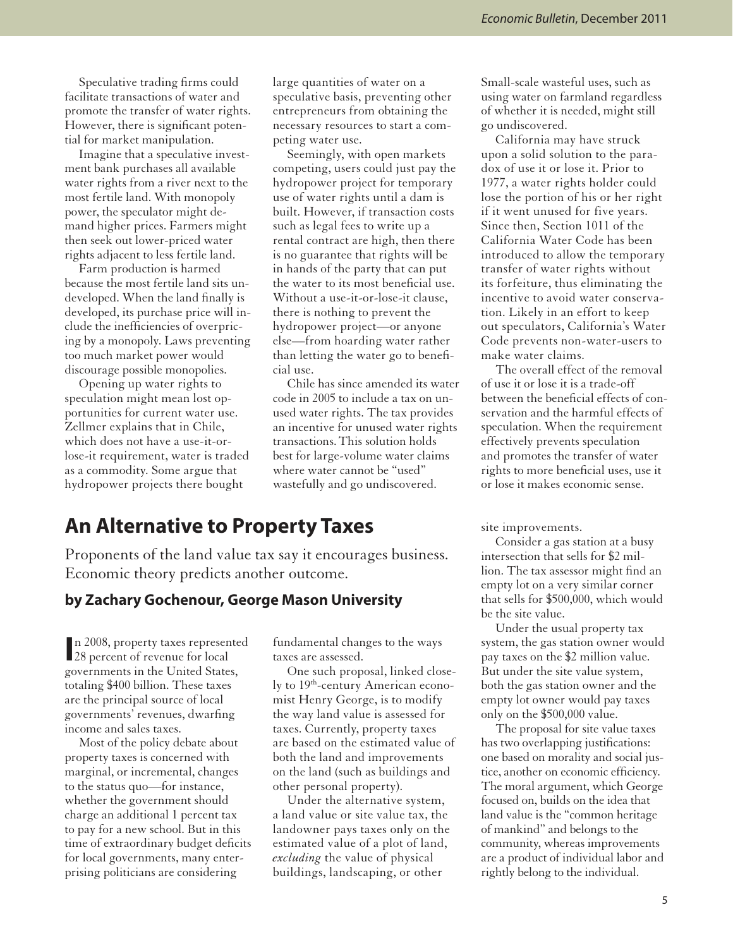Speculative trading firms could facilitate transactions of water and promote the transfer of water rights. However, there is significant potential for market manipulation.

Imagine that a speculative investment bank purchases all available water rights from a river next to the most fertile land. With monopoly power, the speculator might demand higher prices. Farmers might then seek out lower-priced water rights adjacent to less fertile land.

Farm production is harmed because the most fertile land sits undeveloped. When the land finally is developed, its purchase price will include the inefficiencies of overpricing by a monopoly. Laws preventing too much market power would discourage possible monopolies.

Opening up water rights to speculation might mean lost opportunities for current water use. Zellmer explains that in Chile, which does not have a use-it-orlose-it requirement, water is traded as a commodity. Some argue that hydropower projects there bought

large quantities of water on a speculative basis, preventing other entrepreneurs from obtaining the necessary resources to start a competing water use.

Seemingly, with open markets competing, users could just pay the hydropower project for temporary use of water rights until a dam is built. However, if transaction costs such as legal fees to write up a rental contract are high, then there is no guarantee that rights will be in hands of the party that can put the water to its most beneficial use. Without a use-it-or-lose-it clause, there is nothing to prevent the hydropower project—or anyone else—from hoarding water rather than letting the water go to beneficial use.

Chile has since amended its water code in 2005 to include a tax on unused water rights. The tax provides an incentive for unused water rights transactions.This solution holds best for large-volume water claims where water cannot be "used" wastefully and go undiscovered.

## **An Alternative to Property Taxes**

Proponents of the land value tax say it encourages business. Economic theory predicts another outcome.

#### **by Zachary Gochenour, George Mason University**

In 2008, property taxes represent<br>
28 percent of revenue for local n 2008, property taxes represented governments in the United States, totaling \$400 billion. These taxes are the principal source of local governments' revenues, dwarfing income and sales taxes.

Most of the policy debate about property taxes is concerned with marginal, or incremental, changes to the status quo—for instance, whether the government should charge an additional 1 percent tax to pay for a new school. But in this time of extraordinary budget deficits for local governments, many enterprising politicians are considering

fundamental changes to the ways taxes are assessed.

One such proposal, linked closely to 19<sup>th</sup>-century American economist Henry George, is to modify the way land value is assessed for taxes. Currently, property taxes are based on the estimated value of both the land and improvements on the land (such as buildings and other personal property).

Under the alternative system, a land value or site value tax, the landowner pays taxes only on the estimated value of a plot of land, *excluding* the value of physical buildings, landscaping, or other

Small-scale wasteful uses, such as using water on farmland regardless of whether it is needed, might still go undiscovered.

California may have struck upon a solid solution to the paradox of use it or lose it. Prior to 1977, a water rights holder could lose the portion of his or her right if it went unused for five years. Since then, Section 1011 of the California Water Code has been introduced to allow the temporary transfer of water rights without its forfeiture, thus eliminating the incentive to avoid water conservation. Likely in an effort to keep out speculators, California's Water Code prevents non-water-users to make water claims.

The overall effect of the removal of use it or lose it is a trade-off between the beneficial effects of conservation and the harmful effects of speculation. When the requirement effectively prevents speculation and promotes the transfer of water rights to more beneficial uses, use it or lose it makes economic sense.

site improvements.

Consider a gas station at a busy intersection that sells for \$2 million. The tax assessor might find an empty lot on a very similar corner that sells for \$500,000, which would be the site value.

Under the usual property tax system, the gas station owner would pay taxes on the \$2 million value. But under the site value system, both the gas station owner and the empty lot owner would pay taxes only on the \$500,000 value.

The proposal for site value taxes has two overlapping justifications: one based on morality and social justice, another on economic efficiency. The moral argument, which George focused on, builds on the idea that land value is the "common heritage of mankind" and belongs to the community, whereas improvements are a product of individual labor and rightly belong to the individual.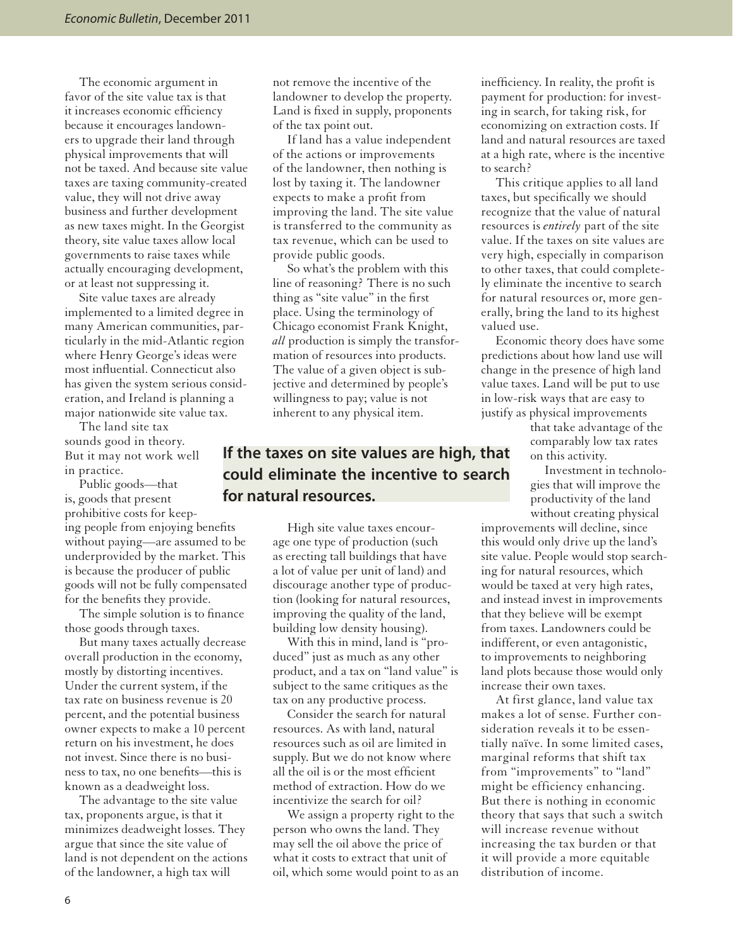The economic argument in favor of the site value tax is that it increases economic efficiency because it encourages landowners to upgrade their land through physical improvements that will not be taxed. And because site value taxes are taxing community-created value, they will not drive away business and further development as new taxes might. In the Georgist theory, site value taxes allow local governments to raise taxes while actually encouraging development, or at least not suppressing it.

Site value taxes are already implemented to a limited degree in many American communities, particularly in the mid-Atlantic region where Henry George's ideas were most influential. Connecticut also has given the system serious consideration, and Ireland is planning a major nationwide site value tax.

The land site tax sounds good in theory. But it may not work well in practice.

Public goods—that is, goods that present prohibitive costs for keeping people from enjoying benefits without paying—are assumed to be underprovided by the market. This is because the producer of public goods will not be fully compensated for the benefits they provide.

The simple solution is to finance those goods through taxes.

But many taxes actually decrease overall production in the economy, mostly by distorting incentives. Under the current system, if the tax rate on business revenue is 20 percent, and the potential business owner expects to make a 10 percent return on his investment, he does not invest. Since there is no business to tax, no one benefits—this is known as a deadweight loss.

The advantage to the site value tax, proponents argue, is that it minimizes deadweight losses. They argue that since the site value of land is not dependent on the actions of the landowner, a high tax will

not remove the incentive of the landowner to develop the property. Land is fixed in supply, proponents of the tax point out.

If land has a value independent of the actions or improvements of the landowner, then nothing is lost by taxing it. The landowner expects to make a profit from improving the land. The site value is transferred to the community as tax revenue, which can be used to provide public goods.

So what's the problem with this line of reasoning? There is no such thing as "site value" in the first place. Using the terminology of Chicago economist Frank Knight, *all* production is simply the transformation of resources into products. The value of a given object is subjective and determined by people's willingness to pay; value is not inherent to any physical item.

## **If the taxes on site values are high, that could eliminate the incentive to search for natural resources.**

High site value taxes encourage one type of production (such as erecting tall buildings that have a lot of value per unit of land) and discourage another type of production (looking for natural resources, improving the quality of the land, building low density housing).

With this in mind, land is "produced" just as much as any other product, and a tax on "land value" is subject to the same critiques as the tax on any productive process.

Consider the search for natural resources. As with land, natural resources such as oil are limited in supply. But we do not know where all the oil is or the most efficient method of extraction. How do we incentivize the search for oil?

We assign a property right to the person who owns the land. They may sell the oil above the price of what it costs to extract that unit of oil, which some would point to as an

inefficiency. In reality, the profit is payment for production: for investing in search, for taking risk, for economizing on extraction costs. If land and natural resources are taxed at a high rate, where is the incentive to search?

This critique applies to all land taxes, but specifically we should recognize that the value of natural resources is *entirely* part of the site value. If the taxes on site values are very high, especially in comparison to other taxes, that could completely eliminate the incentive to search for natural resources or, more generally, bring the land to its highest valued use.

Economic theory does have some predictions about how land use will change in the presence of high land value taxes. Land will be put to use in low-risk ways that are easy to justify as physical improvements

> that take advantage of the comparably low tax rates on this activity.

Investment in technologies that will improve the productivity of the land without creating physical

improvements will decline, since this would only drive up the land's site value. People would stop searching for natural resources, which would be taxed at very high rates, and instead invest in improvements that they believe will be exempt from taxes. Landowners could be indifferent, or even antagonistic, to improvements to neighboring land plots because those would only increase their own taxes.

At first glance, land value tax makes a lot of sense. Further consideration reveals it to be essentially naïve. In some limited cases, marginal reforms that shift tax from "improvements" to "land" might be efficiency enhancing. But there is nothing in economic theory that says that such a switch will increase revenue without increasing the tax burden or that it will provide a more equitable distribution of income.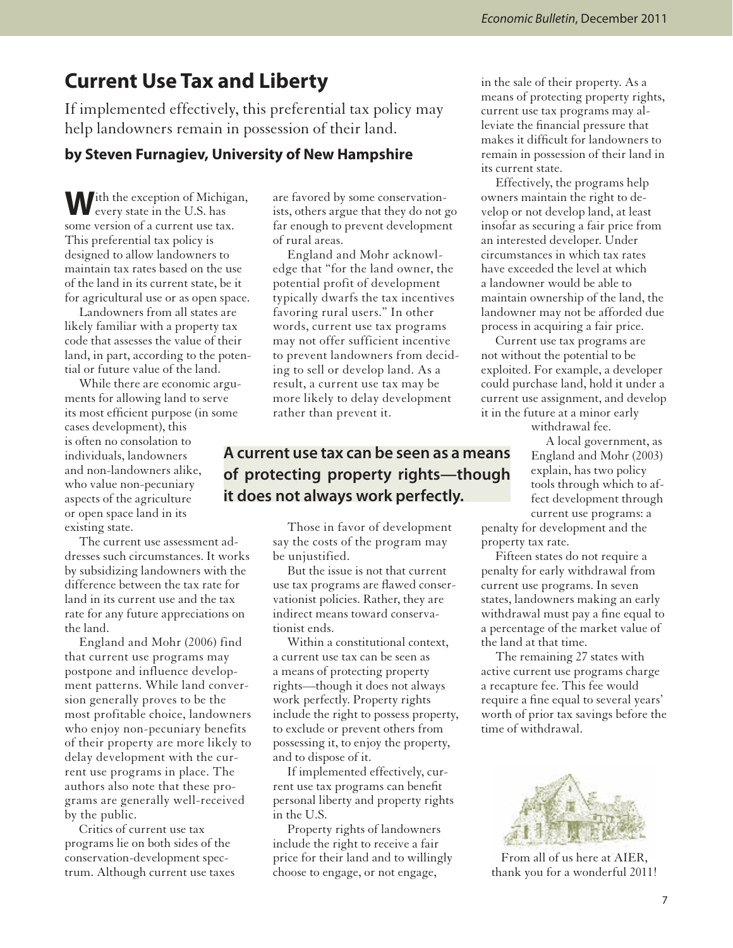## **Current Use Tax and Liberty**

If implemented effectively, this preferential tax policy may help landowners remain in possession of their land.

#### **by Steven Furnagiev, University of New Hampshire**

**W**ith the exception of Michigan, every state in the U.S. has some version of a current use tax. This preferential tax policy is designed to allow landowners to maintain tax rates based on the use of the land in its current state, be it for agricultural use or as open space.

Landowners from all states are likely familiar with a property tax code that assesses the value of their land, in part, according to the potential or future value of the land.

While there are economic arguments for allowing land to serve its most efficient purpose (in some cases development), this is often no consolation to individuals, landowners and non-landowners alike, who value non-pecuniary aspects of the agriculture or open space land in its existing state.

The current use assessment addresses such circumstances. It works by subsidizing landowners with the difference between the tax rate for land in its current use and the tax rate for any future appreciations on the land.

England and Mohr (2006) find that current use programs may postpone and influence development patterns. While land conversion generally proves to be the most profitable choice, landowners who enjoy non-pecuniary benefits of their property are more likely to delay development with the current use programs in place. The authors also note that these programs are generally well-received by the public.

Critics of current use tax programs lie on both sides of the conservation-development spectrum. Although current use taxes are favored by some conservationists, others argue that they do not go far enough to prevent development of rural areas.

England and Mohr acknowledge that "for the land owner, the potential profit of development typically dwarfs the tax incentives favoring rural users." In other words, current use tax programs may not offer sufficient incentive to prevent landowners from deciding to sell or develop land. As a result, a current use tax may be more likely to delay development rather than prevent it.

## **A current use tax can be seen as a means of protecting property rights—though it does not always work perfectly.**

Those in favor of development say the costs of the program may be unjustified.

But the issue is not that current use tax programs are flawed conservationist policies. Rather, they are indirect means toward conservationist ends.

Within a constitutional context, a current use tax can be seen as a means of protecting property rights—though it does not always work perfectly. Property rights include the right to possess property, to exclude or prevent others from possessing it, to enjoy the property, and to dispose of it.

If implemented effectively, current use tax programs can benefit personal liberty and property rights in the U.S.

Property rights of landowners include the right to receive a fair price for their land and to willingly choose to engage, or not engage,

in the sale of their property. As a means of protecting property rights, current use tax programs may alleviate the financial pressure that makes it difficult for landowners to remain in possession of their land in its current state.

Effectively, the programs help owners maintain the right to develop or not develop land, at least insofar as securing a fair price from an interested developer. Under circumstances in which tax rates have exceeded the level at which a landowner would be able to maintain ownership of the land, the landowner may not be afforded due process in acquiring a fair price.

Current use tax programs are not without the potential to be exploited. For example, a developer could purchase land, hold it under a current use assignment, and develop it in the future at a minor early

withdrawal fee.

A local government, as England and Mohr (2003) explain, has two policy tools through which to affect development through current use programs: a

penalty for development and the property tax rate.

Fifteen states do not require a penalty for early withdrawal from current use programs. In seven states, landowners making an early withdrawal must pay a fine equal to a percentage of the market value of the land at that time.

The remaining 27 states with active current use programs charge a recapture fee. This fee would require a fine equal to several years' worth of prior tax savings before the time of withdrawal.



From all of us here at AIER, thank you for a wonderful 2011!